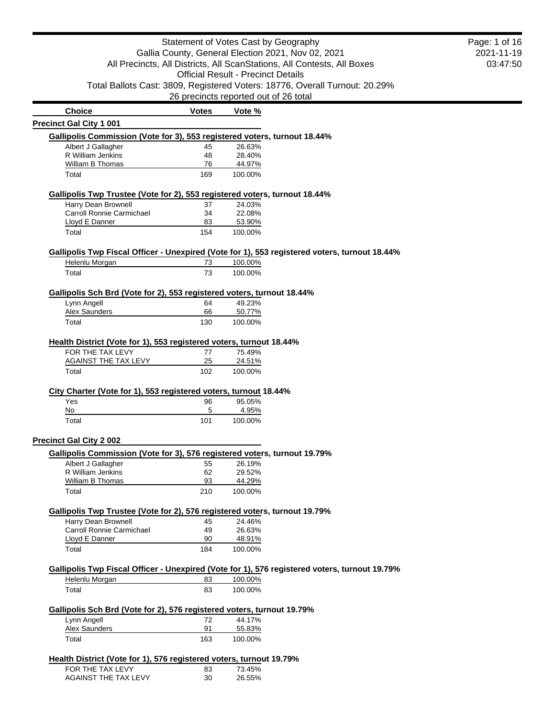|                                                                                                             |              |                                           | Statement of Votes Cast by Geography                                                          | Page: 1 of 16 |
|-------------------------------------------------------------------------------------------------------------|--------------|-------------------------------------------|-----------------------------------------------------------------------------------------------|---------------|
| Gallia County, General Election 2021, Nov 02, 2021                                                          | 2021-11-19   |                                           |                                                                                               |               |
|                                                                                                             |              |                                           | All Precincts, All Districts, All ScanStations, All Contests, All Boxes                       | 03:47:50      |
|                                                                                                             |              | <b>Official Result - Precinct Details</b> |                                                                                               |               |
|                                                                                                             |              |                                           | Total Ballots Cast: 3809, Registered Voters: 18776, Overall Turnout: 20.29%                   |               |
|                                                                                                             |              | 26 precincts reported out of 26 total     |                                                                                               |               |
| <b>Choice</b>                                                                                               | <b>Votes</b> | Vote %                                    |                                                                                               |               |
| <b>Precinct Gal City 1 001</b>                                                                              |              |                                           |                                                                                               |               |
| Gallipolis Commission (Vote for 3), 553 registered voters, turnout 18.44%                                   |              |                                           |                                                                                               |               |
| Albert J Gallagher<br>R William Jenkins                                                                     | 45<br>48     | 26.63%<br>28.40%                          |                                                                                               |               |
| <b>William B Thomas</b>                                                                                     | 76           | 44.97%                                    |                                                                                               |               |
| Total                                                                                                       | 169          | 100.00%                                   |                                                                                               |               |
| Gallipolis Twp Trustee (Vote for 2), 553 registered voters, turnout 18.44%                                  |              |                                           |                                                                                               |               |
| Harry Dean Brownell                                                                                         | 37           | 24.03%                                    |                                                                                               |               |
| Carroll Ronnie Carmichael                                                                                   | 34           | 22.08%                                    |                                                                                               |               |
| Lloyd E Danner<br>Total                                                                                     | 83<br>154    | 53.90%<br>100.00%                         |                                                                                               |               |
|                                                                                                             |              |                                           |                                                                                               |               |
| Helenlu Morgan                                                                                              | 73           | 100.00%                                   | Gallipolis Twp Fiscal Officer - Unexpired (Vote for 1), 553 registered voters, turnout 18.44% |               |
| Total                                                                                                       | 73           | 100.00%                                   |                                                                                               |               |
|                                                                                                             |              |                                           |                                                                                               |               |
| Gallipolis Sch Brd (Vote for 2), 553 registered voters, turnout 18.44%                                      |              |                                           |                                                                                               |               |
| Lynn Angell                                                                                                 | 64           | 49.23%                                    |                                                                                               |               |
| <b>Alex Saunders</b><br>Total                                                                               | 66<br>130    | 50.77%<br>100.00%                         |                                                                                               |               |
|                                                                                                             |              |                                           |                                                                                               |               |
| Health District (Vote for 1), 553 registered voters, turnout 18.44%                                         |              |                                           |                                                                                               |               |
| FOR THE TAX LEVY                                                                                            | 77           | 75.49%                                    |                                                                                               |               |
| AGAINST THE TAX LEVY<br>Total                                                                               | 25<br>102    | 24.51%<br>100.00%                         |                                                                                               |               |
|                                                                                                             |              |                                           |                                                                                               |               |
| City Charter (Vote for 1), 553 registered voters, turnout 18.44%                                            |              |                                           |                                                                                               |               |
| Yes<br>No                                                                                                   | 96<br>5      | 95.05%<br>4.95%                           |                                                                                               |               |
| Total                                                                                                       | 101          | 100.00%                                   |                                                                                               |               |
|                                                                                                             |              |                                           |                                                                                               |               |
| <b>Precinct Gal City 2 002</b><br>Gallipolis Commission (Vote for 3), 576 registered voters, turnout 19.79% |              |                                           |                                                                                               |               |
| Albert J Gallagher                                                                                          | 55           | 26.19%                                    |                                                                                               |               |
| R William Jenkins                                                                                           | 62           | 29.52%                                    |                                                                                               |               |
| William B Thomas                                                                                            | 93           | 44.29%                                    |                                                                                               |               |
| Total                                                                                                       | 210          | 100.00%                                   |                                                                                               |               |
| Gallipolis Twp Trustee (Vote for 2), 576 registered voters, turnout 19.79%                                  |              |                                           |                                                                                               |               |
| Harry Dean Brownell                                                                                         | 45           | 24.46%                                    |                                                                                               |               |
| Carroll Ronnie Carmichael                                                                                   | 49           | 26.63%                                    |                                                                                               |               |
| Lloyd E Danner                                                                                              | 90           | 48.91%                                    |                                                                                               |               |
| Total                                                                                                       | 184          | 100.00%                                   |                                                                                               |               |
|                                                                                                             |              |                                           | Gallipolis Twp Fiscal Officer - Unexpired (Vote for 1), 576 registered voters, turnout 19.79% |               |
| Helenlu Morgan                                                                                              | 83           | 100.00%                                   |                                                                                               |               |
| Total                                                                                                       | 83           | 100.00%                                   |                                                                                               |               |
| Gallipolis Sch Brd (Vote for 2), 576 registered voters, turnout 19.79%                                      |              |                                           |                                                                                               |               |
| Lynn Angell                                                                                                 | 72           | 44.17%                                    |                                                                                               |               |
| <b>Alex Saunders</b>                                                                                        | 91           | 55.83%                                    |                                                                                               |               |
| Total                                                                                                       | 163          | 100.00%                                   |                                                                                               |               |
| Health District (Vote for 1), 576 registered voters, turnout 19.79%                                         |              |                                           |                                                                                               |               |
| FOR THE TAX LEVY                                                                                            | 83           | 73.45%                                    |                                                                                               |               |
| AGAINST THE TAX LEVY                                                                                        | 30           | 26.55%                                    |                                                                                               |               |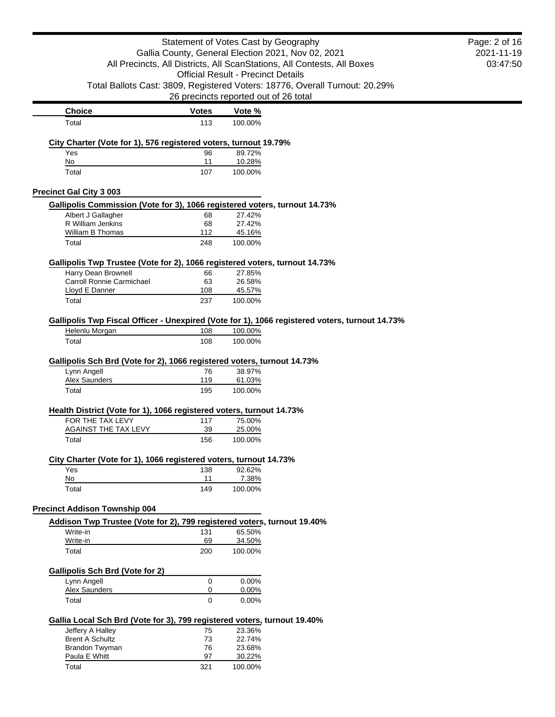|                                                                                                  | Statement of Votes Cast by Geography<br>Gallia County, General Election 2021, Nov 02, 2021 |                                           |                                                                                                |                        |  |
|--------------------------------------------------------------------------------------------------|--------------------------------------------------------------------------------------------|-------------------------------------------|------------------------------------------------------------------------------------------------|------------------------|--|
|                                                                                                  |                                                                                            |                                           | All Precincts, All Districts, All ScanStations, All Contests, All Boxes                        | 2021-11-19<br>03:47:50 |  |
|                                                                                                  |                                                                                            | <b>Official Result - Precinct Details</b> |                                                                                                |                        |  |
|                                                                                                  |                                                                                            |                                           | Total Ballots Cast: 3809, Registered Voters: 18776, Overall Turnout: 20.29%                    |                        |  |
|                                                                                                  | 26 precincts reported out of 26 total                                                      |                                           |                                                                                                |                        |  |
| <b>Choice</b>                                                                                    | <b>Votes</b>                                                                               | Vote %                                    |                                                                                                |                        |  |
| Total                                                                                            | 113                                                                                        | 100.00%                                   |                                                                                                |                        |  |
|                                                                                                  |                                                                                            |                                           |                                                                                                |                        |  |
| City Charter (Vote for 1), 576 registered voters, turnout 19.79%<br>Yes                          | 96                                                                                         | 89.72%                                    |                                                                                                |                        |  |
| No                                                                                               | 11                                                                                         | 10.28%                                    |                                                                                                |                        |  |
| Total                                                                                            | 107                                                                                        | 100.00%                                   |                                                                                                |                        |  |
|                                                                                                  |                                                                                            |                                           |                                                                                                |                        |  |
| <b>Precinct Gal City 3 003</b>                                                                   |                                                                                            |                                           |                                                                                                |                        |  |
| Gallipolis Commission (Vote for 3), 1066 registered voters, turnout 14.73%<br>Albert J Gallagher | 68                                                                                         | 27.42%                                    |                                                                                                |                        |  |
| R William Jenkins                                                                                | 68                                                                                         | 27.42%                                    |                                                                                                |                        |  |
| William B Thomas                                                                                 | 112                                                                                        | 45.16%                                    |                                                                                                |                        |  |
| Total                                                                                            | 248                                                                                        | 100.00%                                   |                                                                                                |                        |  |
| Gallipolis Twp Trustee (Vote for 2), 1066 registered voters, turnout 14.73%                      |                                                                                            |                                           |                                                                                                |                        |  |
| Harry Dean Brownell                                                                              | 66                                                                                         | 27.85%                                    |                                                                                                |                        |  |
| Carroll Ronnie Carmichael                                                                        | 63                                                                                         | 26.58%                                    |                                                                                                |                        |  |
| Lloyd E Danner                                                                                   | 108                                                                                        | 45.57%                                    |                                                                                                |                        |  |
| Total                                                                                            | 237                                                                                        | 100.00%                                   |                                                                                                |                        |  |
|                                                                                                  |                                                                                            |                                           | Gallipolis Twp Fiscal Officer - Unexpired (Vote for 1), 1066 registered voters, turnout 14.73% |                        |  |
| Helenlu Morgan                                                                                   | 108                                                                                        | 100.00%                                   |                                                                                                |                        |  |
| Total                                                                                            | 108                                                                                        | 100.00%                                   |                                                                                                |                        |  |
|                                                                                                  |                                                                                            |                                           |                                                                                                |                        |  |
| Gallipolis Sch Brd (Vote for 2), 1066 registered voters, turnout 14.73%                          |                                                                                            |                                           |                                                                                                |                        |  |
| Lynn Angell<br>Alex Saunders                                                                     | 76<br>119                                                                                  | 38.97%<br>61.03%                          |                                                                                                |                        |  |
| Total                                                                                            | 195                                                                                        | 100.00%                                   |                                                                                                |                        |  |
|                                                                                                  |                                                                                            |                                           |                                                                                                |                        |  |
| Health District (Vote for 1), 1066 registered voters, turnout 14.73%                             |                                                                                            |                                           |                                                                                                |                        |  |
| FOR THE TAX LEVY<br>AGAINST THE TAX LEVY                                                         | 117<br>39                                                                                  | 75.00%<br>25.00%                          |                                                                                                |                        |  |
| Total                                                                                            | 156                                                                                        | 100.00%                                   |                                                                                                |                        |  |
|                                                                                                  |                                                                                            |                                           |                                                                                                |                        |  |
| City Charter (Vote for 1), 1066 registered voters, turnout 14.73%                                |                                                                                            |                                           |                                                                                                |                        |  |
| Yes                                                                                              | 138                                                                                        | 92.62%                                    |                                                                                                |                        |  |
| No<br>Total                                                                                      | 11<br>149                                                                                  | 7.38%<br>100.00%                          |                                                                                                |                        |  |
|                                                                                                  |                                                                                            |                                           |                                                                                                |                        |  |
| <b>Precinct Addison Township 004</b>                                                             |                                                                                            |                                           |                                                                                                |                        |  |
| Addison Twp Trustee (Vote for 2), 799 registered voters, turnout 19.40%                          |                                                                                            |                                           |                                                                                                |                        |  |
| Write-in                                                                                         | 131                                                                                        | 65.50%                                    |                                                                                                |                        |  |
| Write-in                                                                                         | 69<br>200                                                                                  | 34.50%                                    |                                                                                                |                        |  |
| Total                                                                                            |                                                                                            | 100.00%                                   |                                                                                                |                        |  |
| <b>Gallipolis Sch Brd (Vote for 2)</b>                                                           |                                                                                            |                                           |                                                                                                |                        |  |
| Lynn Angell                                                                                      | 0                                                                                          | 0.00%                                     |                                                                                                |                        |  |
| Alex Saunders                                                                                    | $\mathbf 0$                                                                                | 0.00%                                     |                                                                                                |                        |  |
| Total                                                                                            | $\Omega$                                                                                   | 0.00%                                     |                                                                                                |                        |  |
| Gallia Local Sch Brd (Vote for 3), 799 registered voters, turnout 19.40%                         |                                                                                            |                                           |                                                                                                |                        |  |
| Jeffery A Halley                                                                                 | 75                                                                                         | 23.36%                                    |                                                                                                |                        |  |
| <b>Brent A Schultz</b>                                                                           | 73                                                                                         | 22.74%                                    |                                                                                                |                        |  |
| Brandon Twyman<br>Paula E Whitt                                                                  | 76<br>97                                                                                   | 23.68%<br>30.22%                          |                                                                                                |                        |  |
| Total                                                                                            | 321                                                                                        | 100.00%                                   |                                                                                                |                        |  |
|                                                                                                  |                                                                                            |                                           |                                                                                                |                        |  |

03:47:50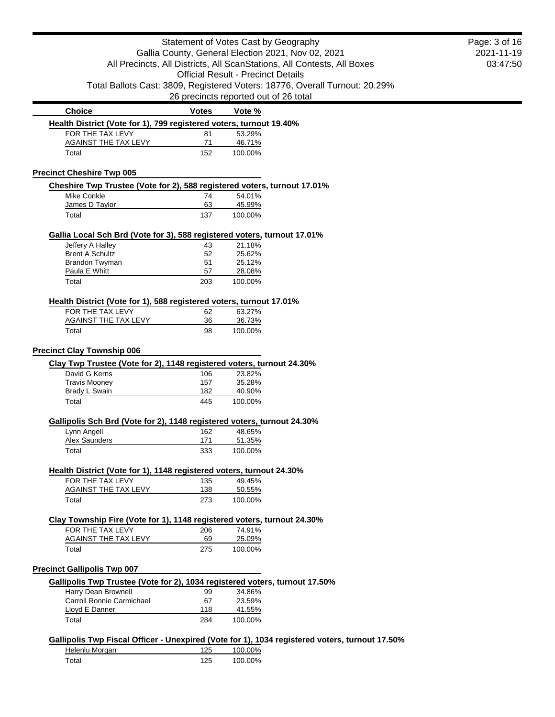|                                                                                         |                                           |                  | Statement of Votes Cast by Geography                                                           |
|-----------------------------------------------------------------------------------------|-------------------------------------------|------------------|------------------------------------------------------------------------------------------------|
|                                                                                         |                                           |                  | Gallia County, General Election 2021, Nov 02, 2021                                             |
|                                                                                         |                                           |                  | All Precincts, All Districts, All ScanStations, All Contests, All Boxes                        |
|                                                                                         | <b>Official Result - Precinct Details</b> |                  |                                                                                                |
|                                                                                         |                                           |                  | Total Ballots Cast: 3809, Registered Voters: 18776, Overall Turnout: 20.29%                    |
|                                                                                         |                                           |                  | 26 precincts reported out of 26 total                                                          |
| <b>Choice</b>                                                                           | <b>Votes</b>                              | Vote %           |                                                                                                |
| Health District (Vote for 1), 799 registered voters, turnout 19.40%                     |                                           |                  |                                                                                                |
| FOR THE TAX LEVY                                                                        | 81                                        | 53.29%           |                                                                                                |
| <b>AGAINST THE TAX LEVY</b>                                                             | 71                                        | 46.71%           |                                                                                                |
| Total                                                                                   | 152                                       | 100.00%          |                                                                                                |
| <b>Precinct Cheshire Twp 005</b>                                                        |                                           |                  |                                                                                                |
| Cheshire Twp Trustee (Vote for 2), 588 registered voters, turnout 17.01%                |                                           |                  |                                                                                                |
| Mike Conkle                                                                             | 74                                        | 54.01%           |                                                                                                |
| James D Taylor                                                                          | 63                                        | 45.99%           |                                                                                                |
| Total                                                                                   | 137                                       | 100.00%          |                                                                                                |
|                                                                                         |                                           |                  |                                                                                                |
| Gallia Local Sch Brd (Vote for 3), 588 registered voters, turnout 17.01%                |                                           | 21.18%           |                                                                                                |
| Jeffery A Halley<br><b>Brent A Schultz</b>                                              | 43<br>52                                  | 25.62%           |                                                                                                |
| Brandon Twyman                                                                          | 51                                        | 25.12%           |                                                                                                |
| Paula E Whitt                                                                           | 57                                        | 28.08%           |                                                                                                |
| Total                                                                                   | 203                                       | 100.00%          |                                                                                                |
|                                                                                         |                                           |                  |                                                                                                |
| Health District (Vote for 1), 588 registered voters, turnout 17.01%<br>FOR THE TAX LEVY | 62                                        | 63.27%           |                                                                                                |
| <b>AGAINST THE TAX LEVY</b>                                                             | 36                                        | 36.73%           |                                                                                                |
| Total                                                                                   | 98                                        | 100.00%          |                                                                                                |
|                                                                                         |                                           |                  |                                                                                                |
| <b>Precinct Clay Township 006</b>                                                       |                                           |                  |                                                                                                |
| Clay Twp Trustee (Vote for 2), 1148 registered voters, turnout 24.30%                   |                                           |                  |                                                                                                |
| David G Kerns                                                                           | 106                                       | 23.82%           |                                                                                                |
| <b>Travis Mooney</b><br>Brady L Swain                                                   | 157<br>182                                | 35.28%<br>40.90% |                                                                                                |
| Total                                                                                   | 445                                       | 100.00%          |                                                                                                |
|                                                                                         |                                           |                  |                                                                                                |
| Gallipolis Sch Brd (Vote for 2), 1148 registered voters, turnout 24.30%                 |                                           |                  |                                                                                                |
| Lynn Angell                                                                             | 162                                       | 48.65%           |                                                                                                |
| Alex Saunders                                                                           | 171                                       | 51.35%           |                                                                                                |
| Total                                                                                   | 333                                       | 100.00%          |                                                                                                |
| Health District (Vote for 1), 1148 registered voters, turnout 24.30%                    |                                           |                  |                                                                                                |
| FOR THE TAX LEVY                                                                        | 135                                       | 49.45%           |                                                                                                |
| <b>AGAINST THE TAX LEVY</b>                                                             | 138                                       | 50.55%           |                                                                                                |
| Total                                                                                   | 273                                       | 100.00%          |                                                                                                |
| Clay Township Fire (Vote for 1), 1148 registered voters, turnout 24.30%                 |                                           |                  |                                                                                                |
| FOR THE TAX LEVY                                                                        | 206                                       | 74.91%           |                                                                                                |
| <b>AGAINST THE TAX LEVY</b>                                                             | 69                                        | 25.09%           |                                                                                                |
| Total                                                                                   | 275                                       | 100.00%          |                                                                                                |
| <b>Precinct Gallipolis Twp 007</b>                                                      |                                           |                  |                                                                                                |
| Gallipolis Twp Trustee (Vote for 2), 1034 registered voters, turnout 17.50%             |                                           |                  |                                                                                                |
| Harry Dean Brownell                                                                     | 99                                        | 34.86%           |                                                                                                |
| Carroll Ronnie Carmichael                                                               | 67                                        | 23.59%           |                                                                                                |
| Lloyd E Danner                                                                          | 118                                       | 41.55%           |                                                                                                |
| Total                                                                                   | 284                                       | 100.00%          |                                                                                                |
|                                                                                         |                                           |                  |                                                                                                |
|                                                                                         |                                           |                  | Gallipolis Twp Fiscal Officer - Unexpired (Vote for 1), 1034 registered voters, turnout 17.50% |
| Helenlu Morgan                                                                          | 125                                       | 100.00%          |                                                                                                |
| Total                                                                                   | 125                                       | 100.00%          |                                                                                                |

2021-11-19 03:47:50

Page: 3 of 16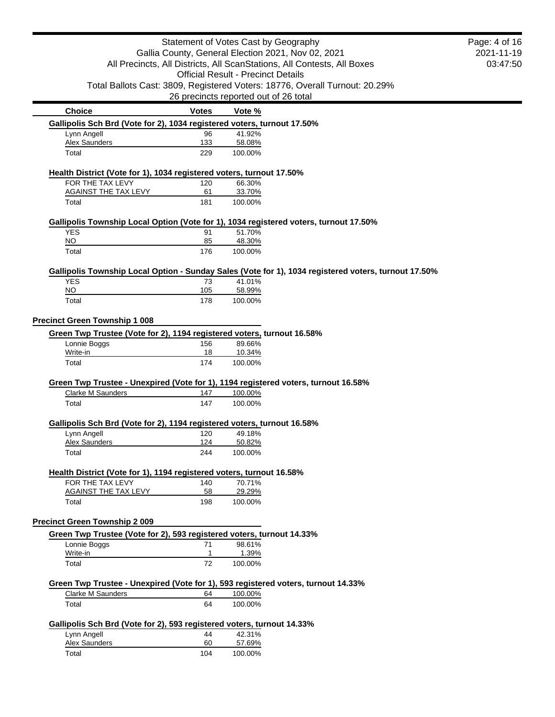|                                                                                       | Statement of Votes Cast by Geography               |                                           |                                                                                                      |          |  |  |
|---------------------------------------------------------------------------------------|----------------------------------------------------|-------------------------------------------|------------------------------------------------------------------------------------------------------|----------|--|--|
|                                                                                       | Gallia County, General Election 2021, Nov 02, 2021 |                                           |                                                                                                      |          |  |  |
|                                                                                       |                                                    |                                           | All Precincts, All Districts, All ScanStations, All Contests, All Boxes                              | 03:47:50 |  |  |
|                                                                                       |                                                    | <b>Official Result - Precinct Details</b> |                                                                                                      |          |  |  |
|                                                                                       |                                                    |                                           | Total Ballots Cast: 3809, Registered Voters: 18776, Overall Turnout: 20.29%                          |          |  |  |
|                                                                                       | 26 precincts reported out of 26 total              |                                           |                                                                                                      |          |  |  |
| <b>Choice</b>                                                                         | <b>Votes</b>                                       | Vote %                                    |                                                                                                      |          |  |  |
| Gallipolis Sch Brd (Vote for 2), 1034 registered voters, turnout 17.50%               |                                                    |                                           |                                                                                                      |          |  |  |
| Lynn Angell                                                                           | 96                                                 | 41.92%                                    |                                                                                                      |          |  |  |
| <b>Alex Saunders</b>                                                                  | 133                                                | 58.08%                                    |                                                                                                      |          |  |  |
| Total                                                                                 | 229                                                | 100.00%                                   |                                                                                                      |          |  |  |
| Health District (Vote for 1), 1034 registered voters, turnout 17.50%                  |                                                    |                                           |                                                                                                      |          |  |  |
| FOR THE TAX LEVY                                                                      | 120                                                | 66.30%                                    |                                                                                                      |          |  |  |
| <b>AGAINST THE TAX LEVY</b>                                                           | 61                                                 | 33.70%                                    |                                                                                                      |          |  |  |
| Total                                                                                 | 181                                                | 100.00%                                   |                                                                                                      |          |  |  |
| Gallipolis Township Local Option (Vote for 1), 1034 registered voters, turnout 17.50% |                                                    |                                           |                                                                                                      |          |  |  |
| <b>YES</b>                                                                            | 91                                                 | 51.70%                                    |                                                                                                      |          |  |  |
| <b>NO</b>                                                                             | 85                                                 | 48.30%                                    |                                                                                                      |          |  |  |
| Total                                                                                 | 176                                                | 100.00%                                   |                                                                                                      |          |  |  |
|                                                                                       |                                                    |                                           | Gallipolis Township Local Option - Sunday Sales (Vote for 1), 1034 registered voters, turnout 17.50% |          |  |  |
| <b>YES</b>                                                                            | 73                                                 | 41.01%                                    |                                                                                                      |          |  |  |
| <b>NO</b>                                                                             | 105                                                | 58.99%                                    |                                                                                                      |          |  |  |
| Total                                                                                 | 178                                                | 100.00%                                   |                                                                                                      |          |  |  |
| <b>Precinct Green Township 1 008</b>                                                  |                                                    |                                           |                                                                                                      |          |  |  |
| Green Twp Trustee (Vote for 2), 1194 registered voters, turnout 16.58%                |                                                    |                                           |                                                                                                      |          |  |  |
| Lonnie Boggs                                                                          | 156                                                | 89.66%                                    |                                                                                                      |          |  |  |
| Write-in<br>Total                                                                     | 18<br>174                                          | 10.34%<br>100.00%                         |                                                                                                      |          |  |  |
|                                                                                       |                                                    |                                           |                                                                                                      |          |  |  |
| Green Twp Trustee - Unexpired (Vote for 1), 1194 registered voters, turnout 16.58%    |                                                    |                                           |                                                                                                      |          |  |  |
| Clarke M Saunders                                                                     | 147                                                | 100.00%                                   |                                                                                                      |          |  |  |
| Total                                                                                 | 147                                                | 100.00%                                   |                                                                                                      |          |  |  |
| Gallipolis Sch Brd (Vote for 2), 1194 registered voters, turnout 16.58%               |                                                    |                                           |                                                                                                      |          |  |  |
| Lynn Angell                                                                           | 120                                                | 49.18%                                    |                                                                                                      |          |  |  |
| <b>Alex Saunders</b>                                                                  | 124                                                | 50.82%                                    |                                                                                                      |          |  |  |
| Total                                                                                 | 244                                                | 100.00%                                   |                                                                                                      |          |  |  |
| Health District (Vote for 1), 1194 registered voters, turnout 16.58%                  |                                                    |                                           |                                                                                                      |          |  |  |
| FOR THE TAX LEVY                                                                      | 140                                                | 70.71%                                    |                                                                                                      |          |  |  |
| <b>AGAINST THE TAX LEVY</b>                                                           | 58                                                 | 29.29%                                    |                                                                                                      |          |  |  |
| Total                                                                                 | 198                                                | 100.00%                                   |                                                                                                      |          |  |  |
| <b>Precinct Green Township 2 009</b>                                                  |                                                    |                                           |                                                                                                      |          |  |  |
| Green Twp Trustee (Vote for 2), 593 registered voters, turnout 14.33%                 |                                                    |                                           |                                                                                                      |          |  |  |
| Lonnie Boggs                                                                          | 71                                                 | 98.61%                                    |                                                                                                      |          |  |  |
| Write-in                                                                              | 1                                                  | 1.39%                                     |                                                                                                      |          |  |  |
| Total                                                                                 | 72                                                 | 100.00%                                   |                                                                                                      |          |  |  |
| Green Twp Trustee - Unexpired (Vote for 1), 593 registered voters, turnout 14.33%     |                                                    |                                           |                                                                                                      |          |  |  |
| Clarke M Saunders                                                                     | 64                                                 | 100.00%                                   |                                                                                                      |          |  |  |
| Total                                                                                 | 64                                                 | 100.00%                                   |                                                                                                      |          |  |  |
| Gallipolis Sch Brd (Vote for 2), 593 registered voters, turnout 14.33%                |                                                    |                                           |                                                                                                      |          |  |  |
| Lynn Angell                                                                           | 44                                                 | 42.31%                                    |                                                                                                      |          |  |  |
| <b>Alex Saunders</b>                                                                  | 60                                                 | 57.69%                                    |                                                                                                      |          |  |  |
| Total                                                                                 | 104                                                | 100.00%                                   |                                                                                                      |          |  |  |
|                                                                                       |                                                    |                                           |                                                                                                      |          |  |  |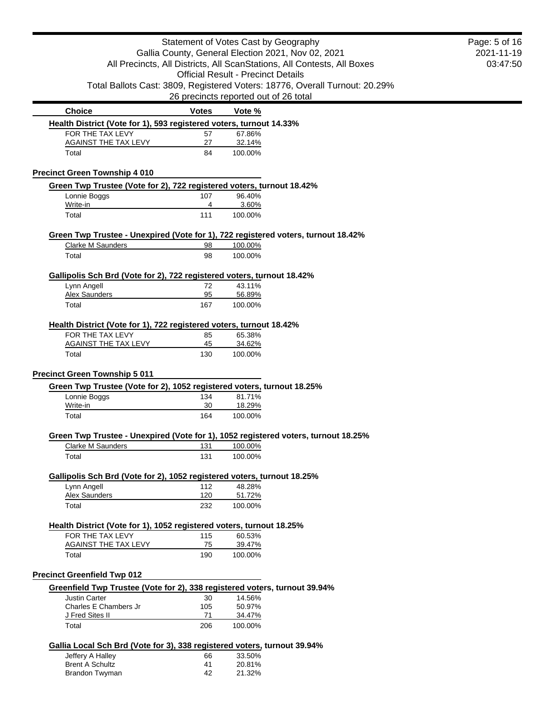|                                                                            |              | Statement of Votes Cast by Geography                                               | Page: 5 of 16 |
|----------------------------------------------------------------------------|--------------|------------------------------------------------------------------------------------|---------------|
| Gallia County, General Election 2021, Nov 02, 2021                         | 2021-11-19   |                                                                                    |               |
|                                                                            |              | All Precincts, All Districts, All ScanStations, All Contests, All Boxes            | 03:47:50      |
|                                                                            |              | <b>Official Result - Precinct Details</b>                                          |               |
|                                                                            |              | Total Ballots Cast: 3809, Registered Voters: 18776, Overall Turnout: 20.29%        |               |
|                                                                            |              | 26 precincts reported out of 26 total                                              |               |
| <b>Choice</b>                                                              | <b>Votes</b> | Vote %                                                                             |               |
| Health District (Vote for 1), 593 registered voters, turnout 14.33%        |              |                                                                                    |               |
| FOR THE TAX LEVY                                                           | 57           | 67.86%                                                                             |               |
| <b>AGAINST THE TAX LEVY</b>                                                | 27           | 32.14%                                                                             |               |
| Total                                                                      | 84           | 100.00%                                                                            |               |
| <b>Precinct Green Township 4 010</b>                                       |              |                                                                                    |               |
| Green Twp Trustee (Vote for 2), 722 registered voters, turnout 18.42%      |              |                                                                                    |               |
| Lonnie Boggs                                                               | 107          | 96.40%                                                                             |               |
| Write-in                                                                   | 4            | 3.60%                                                                              |               |
| Total                                                                      | 111          | 100.00%                                                                            |               |
|                                                                            |              | Green Twp Trustee - Unexpired (Vote for 1), 722 registered voters, turnout 18.42%  |               |
| <b>Clarke M Saunders</b>                                                   | 98           | 100.00%                                                                            |               |
| Total                                                                      | 98           | 100.00%                                                                            |               |
| Gallipolis Sch Brd (Vote for 2), 722 registered voters, turnout 18.42%     |              |                                                                                    |               |
| Lynn Angell                                                                | 72           | 43.11%                                                                             |               |
| <b>Alex Saunders</b>                                                       | 95           | 56.89%                                                                             |               |
| Total                                                                      | 167          | 100.00%                                                                            |               |
| Health District (Vote for 1), 722 registered voters, turnout 18.42%        |              |                                                                                    |               |
| FOR THE TAX LEVY                                                           | 85           | 65.38%                                                                             |               |
| <b>AGAINST THE TAX LEVY</b>                                                | 45           | 34.62%                                                                             |               |
| Total                                                                      | 130          | 100.00%                                                                            |               |
| <b>Precinct Green Township 5 011</b>                                       |              |                                                                                    |               |
| Green Twp Trustee (Vote for 2), 1052 registered voters, turnout 18.25%     |              |                                                                                    |               |
| Lonnie Boggs                                                               | 134          | 81.71%                                                                             |               |
| Write-in                                                                   | 30           | 18.29%                                                                             |               |
| Total                                                                      | 164          | 100.00%                                                                            |               |
|                                                                            |              |                                                                                    |               |
| <b>Clarke M Saunders</b>                                                   | 131          | Green Twp Trustee - Unexpired (Vote for 1), 1052 registered voters, turnout 18.25% |               |
|                                                                            |              | 100.00%                                                                            |               |
| Total                                                                      | 131          | 100.00%                                                                            |               |
| Gallipolis Sch Brd (Vote for 2), 1052 registered voters, turnout 18.25%    |              |                                                                                    |               |
| Lynn Angell                                                                | 112          | 48.28%                                                                             |               |
| Alex Saunders                                                              | 120          | 51.72%                                                                             |               |
| Total                                                                      | 232          | 100.00%                                                                            |               |
| Health District (Vote for 1), 1052 registered voters, turnout 18.25%       |              |                                                                                    |               |
| FOR THE TAX LEVY                                                           | 115          | 60.53%                                                                             |               |
| <b>AGAINST THE TAX LEVY</b>                                                | 75           | 39.47%                                                                             |               |
| Total                                                                      | 190          | 100.00%                                                                            |               |
| <b>Precinct Greenfield Twp 012</b>                                         |              |                                                                                    |               |
| Greenfield Twp Trustee (Vote for 2), 338 registered voters, turnout 39.94% |              |                                                                                    |               |
| <b>Justin Carter</b>                                                       | 30           | 14.56%                                                                             |               |
| Charles E Chambers Jr                                                      | 105          | 50.97%                                                                             |               |
| J Fred Sites II                                                            | 71           | 34.47%                                                                             |               |
| Total                                                                      | 206          | 100.00%                                                                            |               |
| Gallia Local Sch Brd (Vote for 3), 338 registered voters, turnout 39.94%   |              |                                                                                    |               |
| Jeffery A Halley                                                           | 66           | 33.50%                                                                             |               |
| <b>Brent A Schultz</b>                                                     | 41           | 20.81%                                                                             |               |
| Brandon Twyman                                                             | 42           | 21.32%                                                                             |               |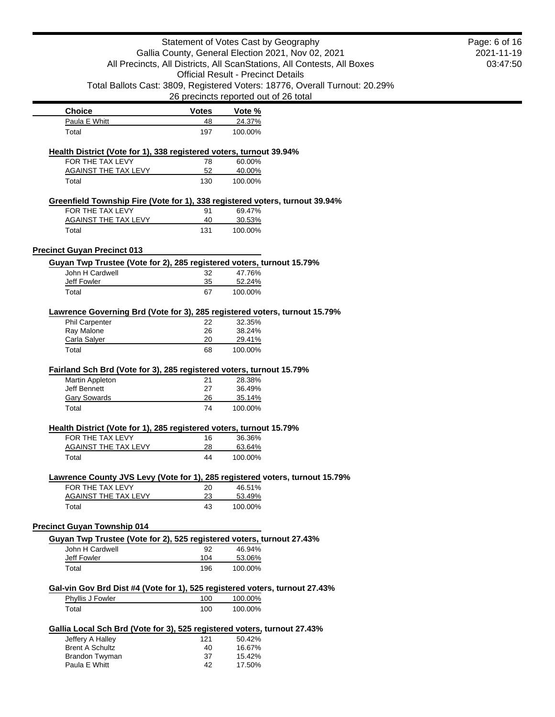|                                                                                                 |              | Statement of Votes Cast by Geography                                         | Page: 6 of 16 |
|-------------------------------------------------------------------------------------------------|--------------|------------------------------------------------------------------------------|---------------|
| Gallia County, General Election 2021, Nov 02, 2021                                              | 2021-11-19   |                                                                              |               |
| All Precincts, All Districts, All ScanStations, All Contests, All Boxes                         | 03:47:50     |                                                                              |               |
|                                                                                                 |              | <b>Official Result - Precinct Details</b>                                    |               |
|                                                                                                 |              | Total Ballots Cast: 3809, Registered Voters: 18776, Overall Turnout: 20.29%  |               |
|                                                                                                 |              | 26 precincts reported out of 26 total                                        |               |
| <b>Choice</b>                                                                                   | <b>Votes</b> | Vote %                                                                       |               |
| Paula E Whitt                                                                                   | 48           | 24.37%                                                                       |               |
| Total                                                                                           | 197          | 100.00%                                                                      |               |
|                                                                                                 |              |                                                                              |               |
| Health District (Vote for 1), 338 registered voters, turnout 39.94%<br>FOR THE TAX LEVY         | 78           | 60.00%                                                                       |               |
| <b>AGAINST THE TAX LEVY</b>                                                                     | 52           | 40.00%                                                                       |               |
| Total                                                                                           | 130          | 100.00%                                                                      |               |
| Greenfield Township Fire (Vote for 1), 338 registered voters, turnout 39.94%                    |              |                                                                              |               |
| FOR THE TAX LEVY                                                                                | 91           | 69.47%                                                                       |               |
| <b>AGAINST THE TAX LEVY</b>                                                                     | 40           | 30.53%                                                                       |               |
| Total                                                                                           | 131          | 100.00%                                                                      |               |
| <b>Precinct Guyan Precinct 013</b>                                                              |              |                                                                              |               |
| Guyan Twp Trustee (Vote for 2), 285 registered voters, turnout 15.79%                           |              |                                                                              |               |
| John H Cardwell                                                                                 | 32           | 47.76%                                                                       |               |
| <b>Jeff Fowler</b>                                                                              | 35           | 52.24%                                                                       |               |
| Total                                                                                           | 67           | 100.00%                                                                      |               |
| Lawrence Governing Brd (Vote for 3), 285 registered voters, turnout 15.79%                      |              |                                                                              |               |
| Phil Carpenter                                                                                  | 22           | 32.35%                                                                       |               |
| Ray Malone                                                                                      | 26           | 38.24%                                                                       |               |
| Carla Salyer                                                                                    | 20           | 29.41%                                                                       |               |
| Fairland Sch Brd (Vote for 3), 285 registered voters, turnout 15.79%                            |              |                                                                              |               |
| Martin Appleton                                                                                 | 21           | 28.38%                                                                       |               |
| <b>Jeff Bennett</b>                                                                             | 27           | 36.49%                                                                       |               |
| <b>Gary Sowards</b>                                                                             | 26           | 35.14%                                                                       |               |
| Total                                                                                           | 74           | 100.00%                                                                      |               |
| Health District (Vote for 1), 285 registered voters, turnout 15.79%                             |              |                                                                              |               |
| FOR THE TAX LEVY                                                                                | 16           | 36.36%                                                                       |               |
| <b>AGAINST THE TAX LEVY</b>                                                                     | 28           | 63.64%                                                                       |               |
| Total                                                                                           | 44           | 100.00%                                                                      |               |
|                                                                                                 |              | Lawrence County JVS Levy (Vote for 1), 285 registered voters, turnout 15.79% |               |
| FOR THE TAX LEVY                                                                                | 20           | 46.51%                                                                       |               |
| <b>AGAINST THE TAX LEVY</b>                                                                     | 23           | 53.49%                                                                       |               |
| Total                                                                                           | 43           | 100.00%                                                                      |               |
| <b>Precinct Guyan Township 014</b>                                                              |              |                                                                              |               |
| Guyan Twp Trustee (Vote for 2), 525 registered voters, turnout 27.43%                           |              |                                                                              |               |
| John H Cardwell                                                                                 | 92           | 46.94%                                                                       |               |
| <b>Jeff Fowler</b>                                                                              | 104          | 53.06%                                                                       |               |
| Total                                                                                           | 196          | 100.00%                                                                      |               |
|                                                                                                 |              |                                                                              |               |
| Gal-vin Gov Brd Dist #4 (Vote for 1), 525 registered voters, turnout 27.43%<br>Phyllis J Fowler | 100          | 100.00%                                                                      |               |
| Total                                                                                           | 100          | 100.00%                                                                      |               |
|                                                                                                 |              |                                                                              |               |
| Gallia Local Sch Brd (Vote for 3), 525 registered voters, turnout 27.43%                        |              |                                                                              |               |
| Jeffery A Halley<br><b>Brent A Schultz</b>                                                      | 121          | 50.42%                                                                       |               |
|                                                                                                 |              |                                                                              |               |
|                                                                                                 | 40           | 16.67%                                                                       |               |
| Brandon Twyman<br>Paula E Whitt                                                                 | 37<br>42     | 15.42%<br>17.50%                                                             |               |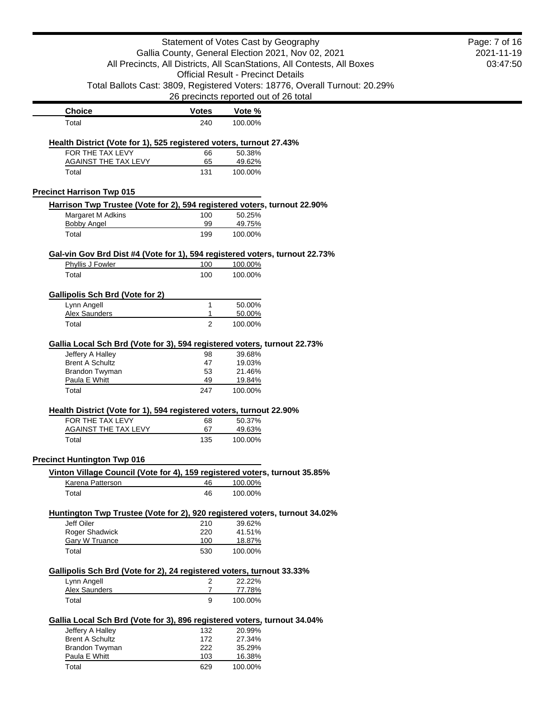| Statement of Votes Cast by Geography                                        | Page: 7 of 16       |                                                                             |  |
|-----------------------------------------------------------------------------|---------------------|-----------------------------------------------------------------------------|--|
| Gallia County, General Election 2021, Nov 02, 2021                          | 2021-11-19          |                                                                             |  |
| All Precincts, All Districts, All ScanStations, All Contests, All Boxes     | 03:47:50            |                                                                             |  |
|                                                                             |                     |                                                                             |  |
|                                                                             |                     | Total Ballots Cast: 3809, Registered Voters: 18776, Overall Turnout: 20.29% |  |
|                                                                             |                     | 26 precincts reported out of 26 total                                       |  |
| <b>Choice</b>                                                               | <b>Votes</b>        | Vote %                                                                      |  |
| Total                                                                       | 240                 | 100.00%                                                                     |  |
| Health District (Vote for 1), 525 registered voters, turnout 27.43%         |                     |                                                                             |  |
| FOR THE TAX LEVY<br>AGAINST THE TAX LEVY                                    | 66<br>65            | 50.38%                                                                      |  |
| Total                                                                       | 131                 | 49.62%<br>100.00%                                                           |  |
|                                                                             |                     |                                                                             |  |
| <b>Precinct Harrison Twp 015</b>                                            |                     |                                                                             |  |
| Harrison Twp Trustee (Vote for 2), 594 registered voters, turnout 22.90%    |                     |                                                                             |  |
| Margaret M Adkins<br><b>Bobby Angel</b>                                     | 100<br>99           | 50.25%<br>49.75%                                                            |  |
| Total                                                                       | 199                 | 100.00%                                                                     |  |
|                                                                             |                     |                                                                             |  |
| Gal-vin Gov Brd Dist #4 (Vote for 1), 594 registered voters, turnout 22.73% |                     |                                                                             |  |
| Phyllis J Fowler                                                            | 100                 | 100.00%                                                                     |  |
| Total                                                                       | 100                 | 100.00%                                                                     |  |
| <b>Gallipolis Sch Brd (Vote for 2)</b>                                      |                     |                                                                             |  |
| Lynn Angell                                                                 | 1                   | 50.00%                                                                      |  |
| <b>Alex Saunders</b>                                                        | 1                   | 50.00%                                                                      |  |
| Total                                                                       | 2                   | 100.00%                                                                     |  |
| Gallia Local Sch Brd (Vote for 3), 594 registered voters, turnout 22.73%    |                     |                                                                             |  |
| Jeffery A Halley                                                            | 98                  | 39.68%                                                                      |  |
| <b>Brent A Schultz</b>                                                      | 47                  | 19.03%                                                                      |  |
| Brandon Twyman                                                              | 53                  | 21.46%                                                                      |  |
| Paula E Whitt                                                               | 49                  | 19.84%                                                                      |  |
| Total                                                                       | 247                 | 100.00%                                                                     |  |
| Health District (Vote for 1), 594 registered voters, turnout 22.90%         |                     |                                                                             |  |
| FOR THE TAX LEVY                                                            | 68                  | 50.37%                                                                      |  |
| <b>AGAINST THE TAX LEVY</b>                                                 | 67                  | 49.63%                                                                      |  |
| Total                                                                       | 135                 | 100.00%                                                                     |  |
| <b>Precinct Huntington Twp 016</b>                                          |                     |                                                                             |  |
| Vinton Village Council (Vote for 4), 159 registered voters, turnout 35.85%  |                     |                                                                             |  |
| Karena Patterson                                                            | 46                  | 100.00%                                                                     |  |
| Total                                                                       | 46                  | 100.00%                                                                     |  |
| Huntington Twp Trustee (Vote for 2), 920 registered voters, turnout 34.02%  |                     |                                                                             |  |
| Jeff Oiler                                                                  | 210                 | 39.62%                                                                      |  |
| Roger Shadwick                                                              | 220                 | 41.51%                                                                      |  |
| <b>Gary W Truance</b>                                                       | 100                 | 18.87%                                                                      |  |
| Total                                                                       | 530                 | 100.00%                                                                     |  |
|                                                                             |                     |                                                                             |  |
| Gallipolis Sch Brd (Vote for 2), 24 registered voters, turnout 33.33%       |                     |                                                                             |  |
| Lynn Angell<br>Alex Saunders                                                | 2<br>$\overline{7}$ | 22.22%                                                                      |  |
| Total                                                                       | 9                   | 77.78%<br>100.00%                                                           |  |
|                                                                             |                     |                                                                             |  |
| Gallia Local Sch Brd (Vote for 3), 896 registered voters, turnout 34.04%    |                     |                                                                             |  |
| Jeffery A Halley                                                            | 132                 | 20.99%                                                                      |  |
| <b>Brent A Schultz</b>                                                      | 172                 | 27.34%                                                                      |  |
| Brandon Twyman                                                              | 222                 | 35.29%                                                                      |  |
| Paula E Whitt<br>Total                                                      | 103<br>629          | 16.38%<br>100.00%                                                           |  |
|                                                                             |                     |                                                                             |  |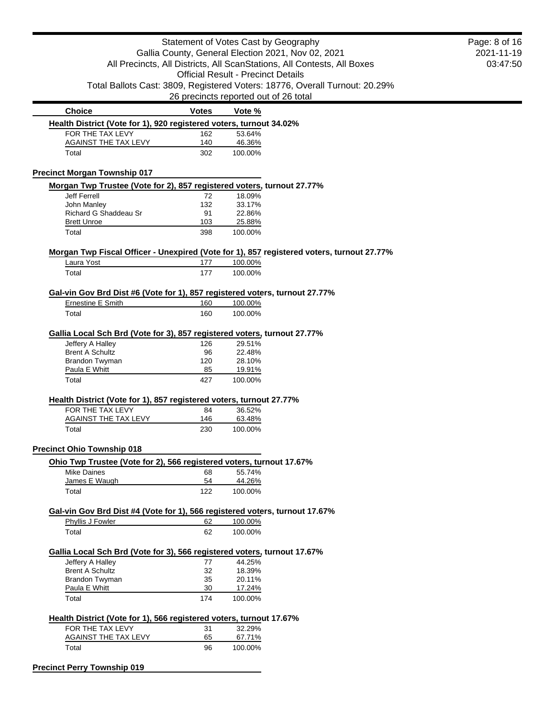|                                                                                                         |              | Statement of Votes Cast by Geography      |                                                                             | Page: 8 of 16 |
|---------------------------------------------------------------------------------------------------------|--------------|-------------------------------------------|-----------------------------------------------------------------------------|---------------|
| Gallia County, General Election 2021, Nov 02, 2021                                                      | 2021-11-19   |                                           |                                                                             |               |
|                                                                                                         |              |                                           | All Precincts, All Districts, All ScanStations, All Contests, All Boxes     | 03:47:50      |
|                                                                                                         |              | <b>Official Result - Precinct Details</b> |                                                                             |               |
|                                                                                                         |              |                                           | Total Ballots Cast: 3809, Registered Voters: 18776, Overall Turnout: 20.29% |               |
|                                                                                                         |              | 26 precincts reported out of 26 total     |                                                                             |               |
| <b>Choice</b>                                                                                           | <b>Votes</b> | Vote %                                    |                                                                             |               |
| Health District (Vote for 1), 920 registered voters, turnout 34.02%                                     |              |                                           |                                                                             |               |
| FOR THE TAX LEVY                                                                                        | 162          | 53.64%                                    |                                                                             |               |
| <b>AGAINST THE TAX LEVY</b>                                                                             | 140          | 46.36%                                    |                                                                             |               |
| Total                                                                                                   | 302          | 100.00%                                   |                                                                             |               |
| <b>Precinct Morgan Township 017</b>                                                                     |              |                                           |                                                                             |               |
| Morgan Twp Trustee (Vote for 2), 857 registered voters, turnout 27.77%                                  |              |                                           |                                                                             |               |
| Jeff Ferrell                                                                                            | 72           | 18.09%                                    |                                                                             |               |
| John Manley                                                                                             | 132          | 33.17%                                    |                                                                             |               |
| Richard G Shaddeau Sr                                                                                   | 91           | 22.86%                                    |                                                                             |               |
| <b>Brett Unroe</b><br>Total                                                                             | 103<br>398   | 25.88%<br>100.00%                         |                                                                             |               |
|                                                                                                         |              |                                           |                                                                             |               |
| Morgan Twp Fiscal Officer - Unexpired (Vote for 1), 857 registered voters, turnout 27.77%<br>Laura Yost | 177          | 100.00%                                   |                                                                             |               |
| Total                                                                                                   | 177          | 100.00%                                   |                                                                             |               |
|                                                                                                         |              |                                           |                                                                             |               |
| Gal-vin Gov Brd Dist #6 (Vote for 1), 857 registered voters, turnout 27.77%                             |              |                                           |                                                                             |               |
| Ernestine E Smith                                                                                       | 160          | 100.00%                                   |                                                                             |               |
| Total                                                                                                   | 160          | 100.00%                                   |                                                                             |               |
| Gallia Local Sch Brd (Vote for 3), 857 registered voters, turnout 27.77%                                |              |                                           |                                                                             |               |
| Jeffery A Halley                                                                                        | 126          | 29.51%                                    |                                                                             |               |
| <b>Brent A Schultz</b>                                                                                  | 96           | 22.48%                                    |                                                                             |               |
| Brandon Twyman                                                                                          | 120          | 28.10%                                    |                                                                             |               |
| Paula E Whitt                                                                                           | 85           | 19.91%                                    |                                                                             |               |
| Total                                                                                                   | 427          | 100.00%                                   |                                                                             |               |
| Health District (Vote for 1), 857 registered voters, turnout 27.77%                                     |              |                                           |                                                                             |               |
| FOR THE TAX LEVY                                                                                        | 84           | 36.52%                                    |                                                                             |               |
| <b>AGAINST THE TAX LEVY</b>                                                                             | 146          | 63.48%                                    |                                                                             |               |
| Total                                                                                                   | 230          | 100.00%                                   |                                                                             |               |
| <b>Precinct Ohio Township 018</b>                                                                       |              |                                           |                                                                             |               |
| Ohio Twp Trustee (Vote for 2), 566 registered voters, turnout 17.67%                                    |              |                                           |                                                                             |               |
| Mike Daines                                                                                             | 68           | 55.74%                                    |                                                                             |               |
| James E Waugh                                                                                           | 54           | 44.26%                                    |                                                                             |               |
| Total                                                                                                   | 122          | 100.00%                                   |                                                                             |               |
| Gal-vin Gov Brd Dist #4 (Vote for 1), 566 registered voters, turnout 17.67%                             |              |                                           |                                                                             |               |
| Phyllis J Fowler                                                                                        | 62           | 100.00%                                   |                                                                             |               |
| Total                                                                                                   | 62           | 100.00%                                   |                                                                             |               |
| Gallia Local Sch Brd (Vote for 3), 566 registered voters, turnout 17.67%                                |              |                                           |                                                                             |               |
| Jeffery A Halley                                                                                        | 77           | 44.25%                                    |                                                                             |               |
| <b>Brent A Schultz</b>                                                                                  | 32           | 18.39%                                    |                                                                             |               |
| Brandon Twyman                                                                                          | 35           | 20.11%                                    |                                                                             |               |
| Paula E Whitt<br>Total                                                                                  | 30<br>174    | 17.24%<br>100.00%                         |                                                                             |               |
|                                                                                                         |              |                                           |                                                                             |               |
| Health District (Vote for 1), 566 registered voters, turnout 17.67%                                     |              |                                           |                                                                             |               |
| FOR THE TAX LEVY                                                                                        | 31           | 32.29%                                    |                                                                             |               |
| <b>AGAINST THE TAX LEVY</b><br>Total                                                                    | 65<br>96     | 67.71%                                    |                                                                             |               |
|                                                                                                         |              | 100.00%                                   |                                                                             |               |
| <b>Precinct Perry Township 019</b>                                                                      |              |                                           |                                                                             |               |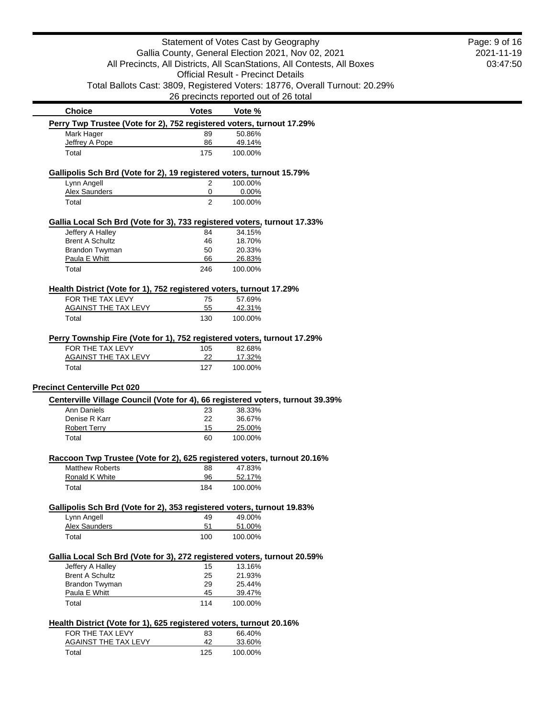| Statement of Votes Cast by Geography                                                         |                                                    |                                                                                | Page: 9 of 16 |  |  |
|----------------------------------------------------------------------------------------------|----------------------------------------------------|--------------------------------------------------------------------------------|---------------|--|--|
|                                                                                              | Gallia County, General Election 2021, Nov 02, 2021 |                                                                                |               |  |  |
| All Precincts, All Districts, All ScanStations, All Contests, All Boxes                      | 03:47:50                                           |                                                                                |               |  |  |
|                                                                                              |                                                    |                                                                                |               |  |  |
|                                                                                              |                                                    | Total Ballots Cast: 3809, Registered Voters: 18776, Overall Turnout: 20.29%    |               |  |  |
|                                                                                              |                                                    | 26 precincts reported out of 26 total                                          |               |  |  |
| <b>Choice</b>                                                                                | <b>Votes</b>                                       | Vote %                                                                         |               |  |  |
| Perry Twp Trustee (Vote for 2), 752 registered voters, turnout 17.29%                        |                                                    |                                                                                |               |  |  |
| Mark Hager                                                                                   | 89                                                 | 50.86%                                                                         |               |  |  |
| Jeffrey A Pope                                                                               | 86                                                 | 49.14%                                                                         |               |  |  |
| Total                                                                                        | 175                                                | 100.00%                                                                        |               |  |  |
| Gallipolis Sch Brd (Vote for 2), 19 registered voters, turnout 15.79%                        |                                                    |                                                                                |               |  |  |
| Lynn Angell                                                                                  | $\overline{2}$                                     | 100.00%                                                                        |               |  |  |
| <b>Alex Saunders</b>                                                                         | 0                                                  | 0.00%                                                                          |               |  |  |
| Total                                                                                        | $\overline{2}$                                     | 100.00%                                                                        |               |  |  |
| Gallia Local Sch Brd (Vote for 3), 733 registered voters, turnout 17.33%                     |                                                    |                                                                                |               |  |  |
| Jeffery A Halley                                                                             | 84                                                 | 34.15%                                                                         |               |  |  |
| <b>Brent A Schultz</b>                                                                       | 46                                                 | 18.70%                                                                         |               |  |  |
| Brandon Twyman                                                                               | 50                                                 | 20.33%                                                                         |               |  |  |
| Paula E Whitt                                                                                | 66                                                 | 26.83%                                                                         |               |  |  |
| Total                                                                                        | 246                                                | 100.00%                                                                        |               |  |  |
| Health District (Vote for 1), 752 registered voters, turnout 17.29%                          |                                                    |                                                                                |               |  |  |
| FOR THE TAX LEVY                                                                             | 75                                                 | 57.69%                                                                         |               |  |  |
| <b>AGAINST THE TAX LEVY</b>                                                                  | 55                                                 | 42.31%                                                                         |               |  |  |
| Total                                                                                        | 130                                                | 100.00%                                                                        |               |  |  |
| Perry Township Fire (Vote for 1), 752 registered voters, turnout 17.29%                      |                                                    |                                                                                |               |  |  |
| FOR THE TAX LEVY                                                                             | 105                                                | 82.68%                                                                         |               |  |  |
| <b>AGAINST THE TAX LEVY</b>                                                                  | 22                                                 | 17.32%                                                                         |               |  |  |
| Total                                                                                        | 127                                                | 100.00%                                                                        |               |  |  |
|                                                                                              |                                                    |                                                                                |               |  |  |
| <b>Precinct Centerville Pct 020</b>                                                          |                                                    |                                                                                |               |  |  |
|                                                                                              |                                                    | Centerville Village Council (Vote for 4), 66 registered voters, turnout 39.39% |               |  |  |
| Ann Daniels                                                                                  | 23                                                 | 38.33%                                                                         |               |  |  |
| Denise R Karr                                                                                | 22                                                 | 36.67%                                                                         |               |  |  |
| <b>Robert Terry</b><br>Total                                                                 | 15<br>60                                           | 25.00%<br>100.00%                                                              |               |  |  |
|                                                                                              |                                                    |                                                                                |               |  |  |
| Raccoon Twp Trustee (Vote for 2), 625 registered voters, turnout 20.16%                      |                                                    |                                                                                |               |  |  |
| <b>Matthew Roberts</b><br>Ronald K White                                                     | 88<br>96                                           | 47.83%<br>52.17%                                                               |               |  |  |
| Total                                                                                        | 184                                                | 100.00%                                                                        |               |  |  |
|                                                                                              |                                                    |                                                                                |               |  |  |
| Gallipolis Sch Brd (Vote for 2), 353 registered voters, turnout 19.83%<br>Lynn Angell        | 49                                                 | 49.00%                                                                         |               |  |  |
| Alex Saunders                                                                                | 51                                                 | 51.00%                                                                         |               |  |  |
| Total                                                                                        | 100                                                | 100.00%                                                                        |               |  |  |
|                                                                                              |                                                    |                                                                                |               |  |  |
| Gallia Local Sch Brd (Vote for 3), 272 registered voters, turnout 20.59%<br>Jeffery A Halley | 15                                                 | 13.16%                                                                         |               |  |  |
| <b>Brent A Schultz</b>                                                                       | 25                                                 | 21.93%                                                                         |               |  |  |
| Brandon Twyman                                                                               | 29                                                 | 25.44%                                                                         |               |  |  |
| Paula E Whitt                                                                                | 45                                                 | 39.47%                                                                         |               |  |  |
| Total                                                                                        | 114                                                | 100.00%                                                                        |               |  |  |
|                                                                                              |                                                    |                                                                                |               |  |  |
| Health District (Vote for 1), 625 registered voters, turnout 20.16%<br>FOR THE TAX LEVY      | 83                                                 | 66.40%                                                                         |               |  |  |
| <b>AGAINST THE TAX LEVY</b>                                                                  | 42                                                 | 33.60%                                                                         |               |  |  |
| Total                                                                                        | 125                                                | 100.00%                                                                        |               |  |  |
|                                                                                              |                                                    |                                                                                |               |  |  |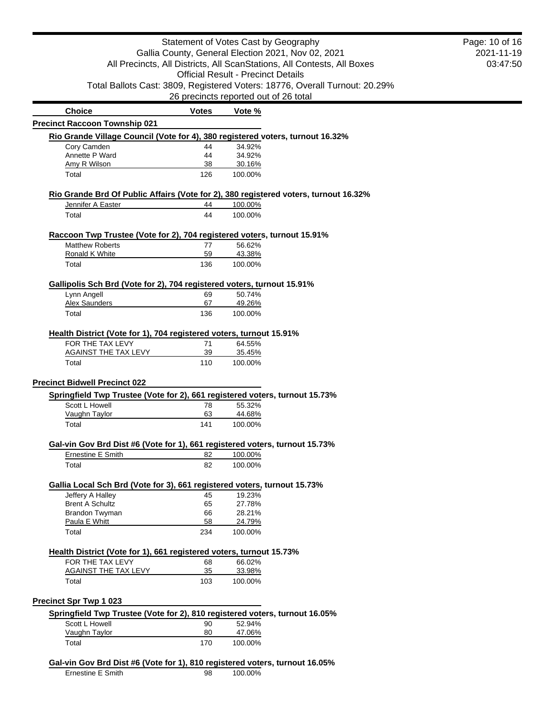|                                                                                                  | Statement of Votes Cast by Geography<br>Gallia County, General Election 2021, Nov 02, 2021<br>All Precincts, All Districts, All ScanStations, All Contests, All Boxes |                                       |  |  |  |
|--------------------------------------------------------------------------------------------------|-----------------------------------------------------------------------------------------------------------------------------------------------------------------------|---------------------------------------|--|--|--|
|                                                                                                  | <b>Official Result - Precinct Details</b><br>Total Ballots Cast: 3809, Registered Voters: 18776, Overall Turnout: 20.29%                                              |                                       |  |  |  |
|                                                                                                  |                                                                                                                                                                       | 26 precincts reported out of 26 total |  |  |  |
| <b>Choice</b>                                                                                    | <b>Votes</b>                                                                                                                                                          | Vote %                                |  |  |  |
| <b>Precinct Raccoon Township 021</b>                                                             |                                                                                                                                                                       |                                       |  |  |  |
| Rio Grande Village Council (Vote for 4), 380 registered voters, turnout 16.32%                   |                                                                                                                                                                       |                                       |  |  |  |
| Cory Camden                                                                                      | 44                                                                                                                                                                    | 34.92%                                |  |  |  |
| Annette P Ward                                                                                   | 44                                                                                                                                                                    | 34.92%                                |  |  |  |
| Amy R Wilson<br>Total                                                                            | 38<br>126                                                                                                                                                             | 30.16%<br>100.00%                     |  |  |  |
| Rio Grande Brd Of Public Affairs (Vote for 2), 380 registered voters, turnout 16.32%             |                                                                                                                                                                       |                                       |  |  |  |
| Jennifer A Easter                                                                                | 44                                                                                                                                                                    | 100.00%                               |  |  |  |
| Total                                                                                            | 44                                                                                                                                                                    | 100.00%                               |  |  |  |
| Raccoon Twp Trustee (Vote for 2), 704 registered voters, turnout 15.91%                          |                                                                                                                                                                       |                                       |  |  |  |
| <b>Matthew Roberts</b>                                                                           | 77                                                                                                                                                                    | 56.62%                                |  |  |  |
| Ronald K White                                                                                   | 59                                                                                                                                                                    | 43.38%                                |  |  |  |
| Total                                                                                            | 136                                                                                                                                                                   | 100.00%                               |  |  |  |
| Gallipolis Sch Brd (Vote for 2), 704 registered voters, turnout 15.91%                           |                                                                                                                                                                       |                                       |  |  |  |
| Lynn Angell<br>Alex Saunders                                                                     | 69<br>67                                                                                                                                                              | 50.74%<br>49.26%                      |  |  |  |
| Total                                                                                            | 136                                                                                                                                                                   | 100.00%                               |  |  |  |
|                                                                                                  |                                                                                                                                                                       |                                       |  |  |  |
| Health District (Vote for 1), 704 registered voters, turnout 15.91%<br>FOR THE TAX LEVY          | 71                                                                                                                                                                    | 64.55%                                |  |  |  |
| AGAINST THE TAX LEVY                                                                             | 39                                                                                                                                                                    | 35.45%                                |  |  |  |
| Total                                                                                            | 110                                                                                                                                                                   | 100.00%                               |  |  |  |
| <b>Precinct Bidwell Precinct 022</b>                                                             |                                                                                                                                                                       |                                       |  |  |  |
| Springfield Twp Trustee (Vote for 2), 661 registered voters, turnout 15.73%                      |                                                                                                                                                                       |                                       |  |  |  |
| Scott L Howell                                                                                   | 78                                                                                                                                                                    | 55.32%                                |  |  |  |
| Vaughn Taylor                                                                                    | 63                                                                                                                                                                    | 44.68%                                |  |  |  |
| Total                                                                                            | 141                                                                                                                                                                   | 100.00%                               |  |  |  |
| Gal-vin Gov Brd Dist #6 (Vote for 1), 661 registered voters, turnout 15.73%                      |                                                                                                                                                                       |                                       |  |  |  |
| Ernestine E Smith                                                                                | 82                                                                                                                                                                    | 100.00%                               |  |  |  |
| Total                                                                                            | 82                                                                                                                                                                    | 100.00%                               |  |  |  |
| Gallia Local Sch Brd (Vote for 3), 661 registered voters, turnout 15.73%                         |                                                                                                                                                                       |                                       |  |  |  |
| Jeffery A Halley                                                                                 | 45                                                                                                                                                                    | 19.23%                                |  |  |  |
| <b>Brent A Schultz</b><br>Brandon Twyman                                                         | 65<br>66                                                                                                                                                              | 27.78%<br>28.21%                      |  |  |  |
| Paula E Whitt                                                                                    | 58                                                                                                                                                                    | 24.79%                                |  |  |  |
| Total                                                                                            | 234                                                                                                                                                                   | 100.00%                               |  |  |  |
| Health District (Vote for 1), 661 registered voters, turnout 15.73%                              |                                                                                                                                                                       |                                       |  |  |  |
| FOR THE TAX LEVY                                                                                 | 68                                                                                                                                                                    | 66.02%                                |  |  |  |
| <b>AGAINST THE TAX LEVY</b>                                                                      | 35                                                                                                                                                                    | 33.98%                                |  |  |  |
| Total                                                                                            | 103                                                                                                                                                                   | 100.00%                               |  |  |  |
| <b>Precinct Spr Twp 1 023</b>                                                                    |                                                                                                                                                                       |                                       |  |  |  |
| Springfield Twp Trustee (Vote for 2), 810 registered voters, turnout 16.05%                      |                                                                                                                                                                       |                                       |  |  |  |
| Scott L Howell<br>Vaughn Taylor                                                                  | 90<br>80                                                                                                                                                              | 52.94%                                |  |  |  |
| Total                                                                                            | 170                                                                                                                                                                   | 47.06%<br>100.00%                     |  |  |  |
|                                                                                                  |                                                                                                                                                                       |                                       |  |  |  |
| Gal-vin Gov Brd Dist #6 (Vote for 1), 810 registered voters, turnout 16.05%<br>Ernestine E Smith | 98                                                                                                                                                                    | 100.00%                               |  |  |  |
|                                                                                                  |                                                                                                                                                                       |                                       |  |  |  |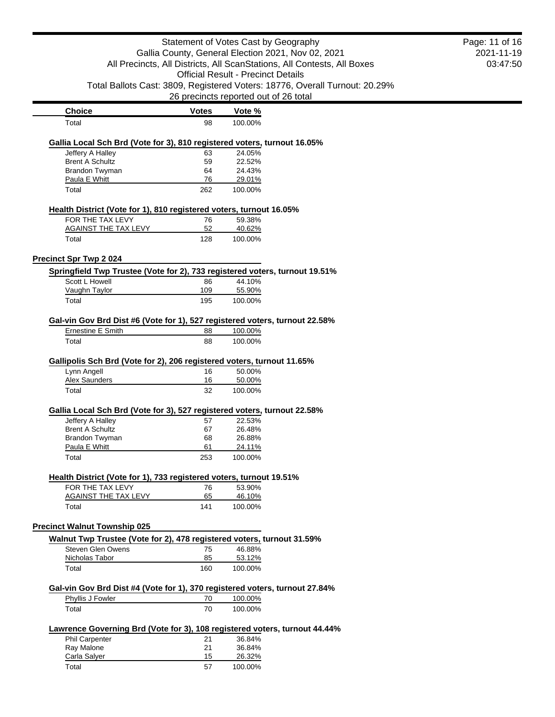|                                                                             |                                                    | Statement of Votes Cast by Geography                                        | Page: 11 of 16 |  |  |
|-----------------------------------------------------------------------------|----------------------------------------------------|-----------------------------------------------------------------------------|----------------|--|--|
|                                                                             | Gallia County, General Election 2021, Nov 02, 2021 |                                                                             |                |  |  |
|                                                                             |                                                    | All Precincts, All Districts, All ScanStations, All Contests, All Boxes     | 03:47:50       |  |  |
|                                                                             |                                                    | <b>Official Result - Precinct Details</b>                                   |                |  |  |
|                                                                             |                                                    | Total Ballots Cast: 3809, Registered Voters: 18776, Overall Turnout: 20.29% |                |  |  |
|                                                                             |                                                    | 26 precincts reported out of 26 total                                       |                |  |  |
| <b>Choice</b>                                                               | <b>Votes</b>                                       | Vote %                                                                      |                |  |  |
| Total                                                                       | 98                                                 | 100.00%                                                                     |                |  |  |
| Gallia Local Sch Brd (Vote for 3), 810 registered voters, turnout 16.05%    |                                                    |                                                                             |                |  |  |
| Jeffery A Halley                                                            | 63                                                 | 24.05%                                                                      |                |  |  |
| <b>Brent A Schultz</b>                                                      | 59                                                 | 22.52%                                                                      |                |  |  |
| Brandon Twyman                                                              | 64                                                 | 24.43%                                                                      |                |  |  |
| Paula E Whitt                                                               | 76                                                 | 29.01%                                                                      |                |  |  |
| Total                                                                       | 262                                                | 100.00%                                                                     |                |  |  |
| Health District (Vote for 1), 810 registered voters, turnout 16.05%         |                                                    |                                                                             |                |  |  |
| FOR THE TAX LEVY                                                            | 76                                                 | 59.38%                                                                      |                |  |  |
| <b>AGAINST THE TAX LEVY</b>                                                 | 52                                                 | 40.62%                                                                      |                |  |  |
| Total                                                                       | 128                                                | 100.00%                                                                     |                |  |  |
| <b>Precinct Spr Twp 2024</b>                                                |                                                    |                                                                             |                |  |  |
| Springfield Twp Trustee (Vote for 2), 733 registered voters, turnout 19.51% |                                                    |                                                                             |                |  |  |
| Scott L Howell                                                              | 86                                                 | 44.10%                                                                      |                |  |  |
| Vaughn Taylor                                                               | 109                                                | 55.90%                                                                      |                |  |  |
| Total                                                                       | 195                                                | 100.00%                                                                     |                |  |  |
| Gal-vin Gov Brd Dist #6 (Vote for 1), 527 registered voters, turnout 22.58% |                                                    |                                                                             |                |  |  |
| Ernestine E Smith                                                           | 88                                                 | 100.00%                                                                     |                |  |  |
| Total                                                                       | 88                                                 | 100.00%                                                                     |                |  |  |
|                                                                             |                                                    |                                                                             |                |  |  |
| Gallipolis Sch Brd (Vote for 2), 206 registered voters, turnout 11.65%      |                                                    |                                                                             |                |  |  |
| Lynn Angell<br>Alex Saunders                                                | 16                                                 | 50.00%                                                                      |                |  |  |
| Total                                                                       | 16<br>32                                           | 50.00%<br>100.00%                                                           |                |  |  |
|                                                                             |                                                    |                                                                             |                |  |  |
| Gallia Local Sch Brd (Vote for 3), 527 registered voters, turnout 22.58%    |                                                    |                                                                             |                |  |  |
| Jeffery A Halley                                                            | 57                                                 | 22.53%                                                                      |                |  |  |
| <b>Brent A Schultz</b>                                                      | 67                                                 | 26.48%                                                                      |                |  |  |
| Brandon Twyman                                                              | 68                                                 | 26.88%                                                                      |                |  |  |
| Paula E Whitt                                                               | 61                                                 | 24.11%                                                                      |                |  |  |
| Total                                                                       | 253                                                | 100.00%                                                                     |                |  |  |
| Health District (Vote for 1), 733 registered voters, turnout 19.51%         |                                                    |                                                                             |                |  |  |
| FOR THE TAX LEVY                                                            | 76                                                 | 53.90%                                                                      |                |  |  |
| <b>AGAINST THE TAX LEVY</b>                                                 | 65                                                 | 46.10%                                                                      |                |  |  |
| Total                                                                       | 141                                                | 100.00%                                                                     |                |  |  |
| <b>Precinct Walnut Township 025</b>                                         |                                                    |                                                                             |                |  |  |
| Walnut Twp Trustee (Vote for 2), 478 registered voters, turnout 31.59%      |                                                    |                                                                             |                |  |  |
| Steven Glen Owens                                                           | 75                                                 | 46.88%                                                                      |                |  |  |
| Nicholas Tabor                                                              | 85                                                 | 53.12%                                                                      |                |  |  |
| Total                                                                       | 160                                                | 100.00%                                                                     |                |  |  |
| Gal-vin Gov Brd Dist #4 (Vote for 1), 370 registered voters, turnout 27.84% |                                                    |                                                                             |                |  |  |
| Phyllis J Fowler                                                            | 70                                                 | 100.00%                                                                     |                |  |  |
| Total                                                                       | 70                                                 | 100.00%                                                                     |                |  |  |
|                                                                             |                                                    |                                                                             |                |  |  |
| Lawrence Governing Brd (Vote for 3), 108 registered voters, turnout 44.44%  |                                                    |                                                                             |                |  |  |
| Phil Carpenter                                                              | 21                                                 | 36.84%                                                                      |                |  |  |
| Ray Malone<br>Carla Salyer                                                  | 21<br>15                                           | 36.84%<br>26.32%                                                            |                |  |  |
| Total                                                                       | 57                                                 | 100.00%                                                                     |                |  |  |
|                                                                             |                                                    |                                                                             |                |  |  |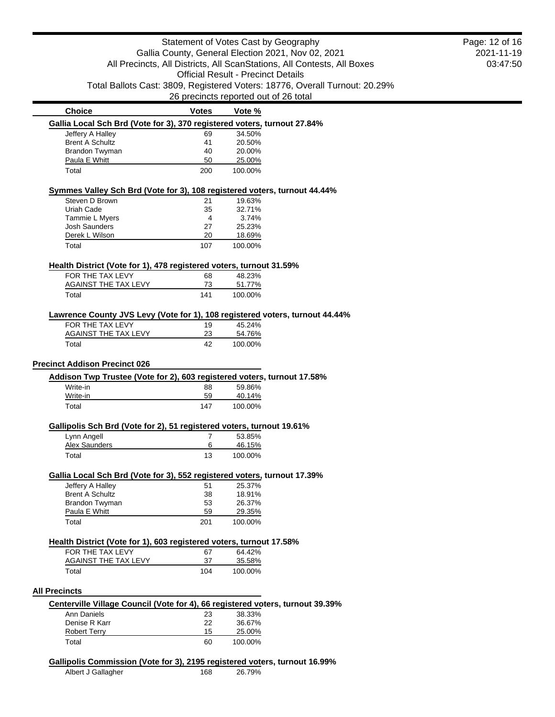### Statement of Votes Cast by Geography Gallia County, General Election 2021, Nov 02, 2021 All Precincts, All Districts, All ScanStations, All Contests, All Boxes Official Result - Precinct Details Total Ballots Cast: 3809, Registered Voters: 18776, Overall Turnout: 20.29% 26 precincts reported out of 26 total

| <b>Choice</b>                                                                  | Votes | Vote %  |  |
|--------------------------------------------------------------------------------|-------|---------|--|
| Gallia Local Sch Brd (Vote for 3), 370 registered voters, turnout 27.84%       |       |         |  |
| Jeffery A Halley                                                               | 69    | 34.50%  |  |
| <b>Brent A Schultz</b>                                                         | 41    | 20.50%  |  |
| Brandon Twyman                                                                 | 40    | 20.00%  |  |
| Paula E Whitt                                                                  | 50    | 25.00%  |  |
| Total                                                                          | 200   | 100.00% |  |
| Symmes Valley Sch Brd (Vote for 3), 108 registered voters, turnout 44.44%      |       |         |  |
| Steven D Brown                                                                 | 21    | 19.63%  |  |
| Uriah Cade                                                                     | 35    | 32.71%  |  |
| Tammie L Myers                                                                 | 4     | 3.74%   |  |
| <b>Josh Saunders</b>                                                           | 27    | 25.23%  |  |
| Derek L Wilson                                                                 | 20    | 18.69%  |  |
| Total                                                                          | 107   | 100.00% |  |
| Health District (Vote for 1), 478 registered voters, turnout 31.59%            |       |         |  |
| FOR THE TAX LEVY                                                               | 68    | 48.23%  |  |
| <b>AGAINST THE TAX LEVY</b>                                                    | 73    | 51.77%  |  |
|                                                                                |       |         |  |
| Total                                                                          | 141   | 100.00% |  |
| Lawrence County JVS Levy (Vote for 1), 108 registered voters, turnout 44.44%   |       |         |  |
| FOR THE TAX LEVY                                                               | 19    | 45.24%  |  |
| <b>AGAINST THE TAX LEVY</b>                                                    | 23    | 54.76%  |  |
| Total                                                                          | 42    | 100.00% |  |
| <b>Precinct Addison Precinct 026</b>                                           |       |         |  |
| Addison Twp Trustee (Vote for 2), 603 registered voters, turnout 17.58%        |       |         |  |
| Write-in                                                                       | 88    | 59.86%  |  |
| Write-in                                                                       | 59    | 40.14%  |  |
| Total                                                                          | 147   | 100.00% |  |
| Gallipolis Sch Brd (Vote for 2), 51 registered voters, turnout 19.61%          |       |         |  |
| Lynn Angell                                                                    | 7     | 53.85%  |  |
| <b>Alex Saunders</b>                                                           | 6     | 46.15%  |  |
| Total                                                                          | 13    | 100.00% |  |
| Gallia Local Sch Brd (Vote for 3), 552 registered voters, turnout 17.39%       |       |         |  |
| Jeffery A Halley                                                               | 51    | 25.37%  |  |
| <b>Brent A Schultz</b>                                                         | 38    | 18.91%  |  |
| Brandon Twyman                                                                 | 53    | 26.37%  |  |
| Paula E Whitt                                                                  | 59    | 29.35%  |  |
| Total                                                                          | 201   | 100.00% |  |
|                                                                                |       |         |  |
| Health District (Vote for 1), 603 registered voters, turnout 17.58%            |       |         |  |
| FOR THE TAX LEVY                                                               | 67    | 64.42%  |  |
| <b>AGAINST THE TAX LEVY</b>                                                    | 37    | 35.58%  |  |
| Total                                                                          | 104   | 100.00% |  |
| <b>All Precincts</b>                                                           |       |         |  |
| Centerville Village Council (Vote for 4), 66 registered voters, turnout 39.39% |       |         |  |
| <b>Ann Daniels</b>                                                             | 23    | 38.33%  |  |
| Denise R Karr                                                                  | 22    | 36.67%  |  |
| <b>Robert Terry</b>                                                            | 15    | 25.00%  |  |
| Total                                                                          | 60    | 100.00% |  |
| Gallipolis Commission (Vote for 3), 2195 registered voters, turnout 16.99%     |       |         |  |
| Albert J Gallagher                                                             | 168   | 26.79%  |  |
|                                                                                |       |         |  |

2021-11-19 03:47:50 Page: 12 of 16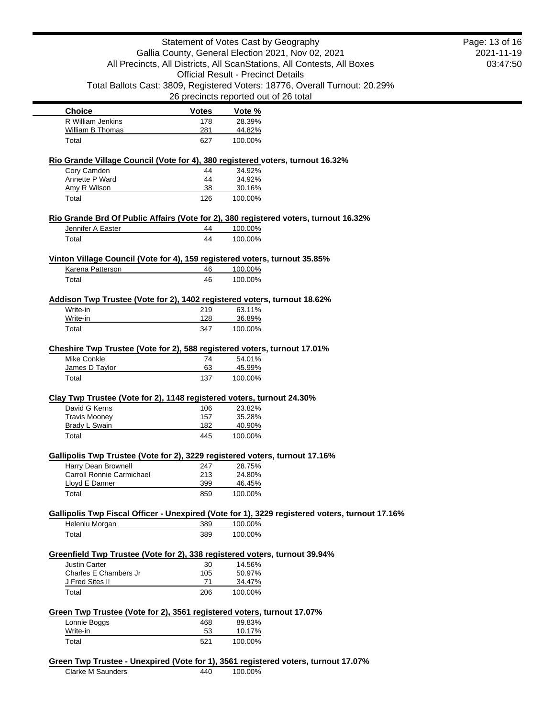| Statement of Votes Cast by Geography<br>Gallia County, General Election 2021, Nov 02, 2021<br>All Precincts, All Districts, All ScanStations, All Contests, All Boxes |              | Page: 13 of 16<br>2021-11-19                                                                    |  |
|-----------------------------------------------------------------------------------------------------------------------------------------------------------------------|--------------|-------------------------------------------------------------------------------------------------|--|
|                                                                                                                                                                       |              | 03:47:50                                                                                        |  |
|                                                                                                                                                                       |              | <b>Official Result - Precinct Details</b>                                                       |  |
|                                                                                                                                                                       |              | Total Ballots Cast: 3809, Registered Voters: 18776, Overall Turnout: 20.29%                     |  |
|                                                                                                                                                                       |              | 26 precincts reported out of 26 total                                                           |  |
| <b>Choice</b>                                                                                                                                                         | <b>Votes</b> | Vote %                                                                                          |  |
| R William Jenkins                                                                                                                                                     | 178          | 28.39%                                                                                          |  |
| William B Thomas                                                                                                                                                      | 281          | 44.82%                                                                                          |  |
| Total                                                                                                                                                                 | 627          | 100.00%                                                                                         |  |
|                                                                                                                                                                       |              | Rio Grande Village Council (Vote for 4), 380 registered voters, turnout 16.32%                  |  |
| Cory Camden                                                                                                                                                           | 44           | 34.92%                                                                                          |  |
| Annette P Ward                                                                                                                                                        | 44           | 34.92%                                                                                          |  |
| Amy R Wilson<br>Total                                                                                                                                                 | 38<br>126    | 30.16%<br>100.00%                                                                               |  |
|                                                                                                                                                                       |              |                                                                                                 |  |
| Jennifer A Easter                                                                                                                                                     | 44           | Rio Grande Brd Of Public Affairs (Vote for 2), 380 registered voters, turnout 16.32%<br>100.00% |  |
| Total                                                                                                                                                                 | 44           | 100.00%                                                                                         |  |
|                                                                                                                                                                       |              |                                                                                                 |  |
| Vinton Village Council (Vote for 4), 159 registered voters, turnout 35.85%                                                                                            |              |                                                                                                 |  |
| Karena Patterson                                                                                                                                                      | 46           | 100.00%                                                                                         |  |
| Total                                                                                                                                                                 | 46           | 100.00%                                                                                         |  |
| Addison Twp Trustee (Vote for 2), 1402 registered voters, turnout 18.62%                                                                                              |              |                                                                                                 |  |
| Write-in                                                                                                                                                              | 219          | 63.11%                                                                                          |  |
| Write-in                                                                                                                                                              | 128          | 36.89%                                                                                          |  |
| Total                                                                                                                                                                 | 347          | 100.00%                                                                                         |  |
| Cheshire Twp Trustee (Vote for 2), 588 registered voters, turnout 17.01%                                                                                              |              |                                                                                                 |  |
| <b>Mike Conkle</b>                                                                                                                                                    | 74           | 54.01%                                                                                          |  |
| James D Taylor                                                                                                                                                        | 63           | 45.99%                                                                                          |  |
| Total                                                                                                                                                                 | 137          | 100.00%                                                                                         |  |
| Clay Twp Trustee (Vote for 2), 1148 registered voters, turnout 24.30%                                                                                                 |              |                                                                                                 |  |
| David G Kerns                                                                                                                                                         | 106          | 23.82%                                                                                          |  |
| <b>Travis Mooney</b>                                                                                                                                                  | 157          | 35.28%                                                                                          |  |
| <b>Brady L Swain</b>                                                                                                                                                  | 182          | 40.90%                                                                                          |  |
| Total                                                                                                                                                                 | 445          | 100.00%                                                                                         |  |
| Gallipolis Twp Trustee (Vote for 2), 3229 registered voters, turnout 17.16%                                                                                           |              |                                                                                                 |  |
| Harry Dean Brownell                                                                                                                                                   | 247          | 28.75%                                                                                          |  |
| Carroll Ronnie Carmichael                                                                                                                                             | 213          | 24.80%                                                                                          |  |
| Lloyd E Danner                                                                                                                                                        | 399          | 46.45%                                                                                          |  |
| Total                                                                                                                                                                 | 859          | 100.00%                                                                                         |  |
|                                                                                                                                                                       |              | Gallipolis Twp Fiscal Officer - Unexpired (Vote for 1), 3229 registered voters, turnout 17.16%  |  |
| Helenlu Morgan                                                                                                                                                        | 389          | 100.00%                                                                                         |  |
| Total                                                                                                                                                                 | 389          | 100.00%                                                                                         |  |
| Greenfield Twp Trustee (Vote for 2), 338 registered voters, turnout 39.94%                                                                                            |              |                                                                                                 |  |
| <b>Justin Carter</b>                                                                                                                                                  | 30           | 14.56%                                                                                          |  |
| Charles E Chambers Jr                                                                                                                                                 | 105          | 50.97%                                                                                          |  |
| J Fred Sites II                                                                                                                                                       | 71           | 34.47%                                                                                          |  |
| Total                                                                                                                                                                 | 206          | 100.00%                                                                                         |  |
| Green Twp Trustee (Vote for 2), 3561 registered voters, turnout 17.07%                                                                                                |              |                                                                                                 |  |
| Lonnie Boggs                                                                                                                                                          | 468          | 89.83%                                                                                          |  |
| Write-in                                                                                                                                                              | 53           | 10.17%                                                                                          |  |
| Total                                                                                                                                                                 | 521          | 100.00%                                                                                         |  |
|                                                                                                                                                                       |              | Green Twp Trustee - Unexpired (Vote for 1), 3561 registered voters, turnout 17.07%              |  |
| Clarke M Saunders                                                                                                                                                     | 440          | 100.00%                                                                                         |  |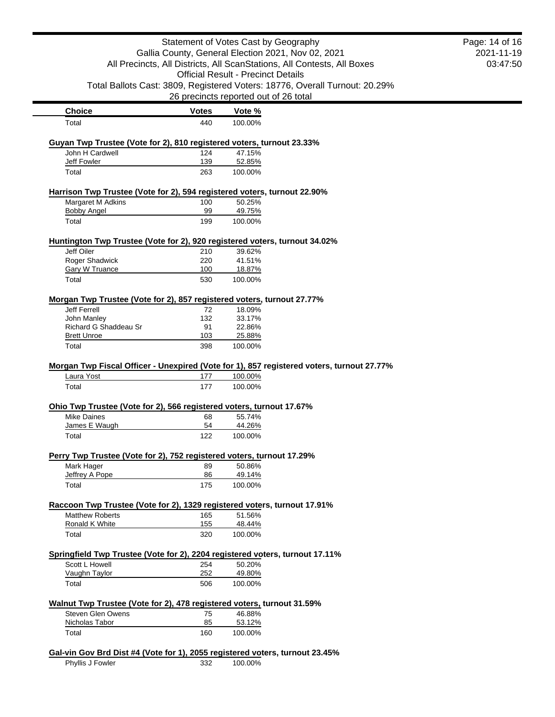|                                                                                            | Statement of Votes Cast by Geography |                                                                                                      | Page: 14 of 16 |  |
|--------------------------------------------------------------------------------------------|--------------------------------------|------------------------------------------------------------------------------------------------------|----------------|--|
| Gallia County, General Election 2021, Nov 02, 2021                                         |                                      | 2021-11-19                                                                                           |                |  |
| All Precincts, All Districts, All ScanStations, All Contests, All Boxes                    |                                      |                                                                                                      | 03:47:50       |  |
|                                                                                            |                                      | <b>Official Result - Precinct Details</b>                                                            |                |  |
|                                                                                            |                                      | Total Ballots Cast: 3809, Registered Voters: 18776, Overall Turnout: 20.29%                          |                |  |
|                                                                                            |                                      | 26 precincts reported out of 26 total                                                                |                |  |
| <b>Choice</b>                                                                              | <b>Votes</b>                         | Vote %                                                                                               |                |  |
| Total                                                                                      | 440                                  | 100.00%                                                                                              |                |  |
| Guyan Twp Trustee (Vote for 2), 810 registered voters, turnout 23.33%                      |                                      |                                                                                                      |                |  |
| John H Cardwell                                                                            | 124                                  | 47.15%                                                                                               |                |  |
| Jeff Fowler                                                                                | 139                                  | 52.85%                                                                                               |                |  |
| Total                                                                                      | 263                                  | 100.00%                                                                                              |                |  |
|                                                                                            |                                      | Harrison Twp Trustee (Vote for 2), 594 registered voters, turnout 22.90%                             |                |  |
| Margaret M Adkins                                                                          | 100                                  | 50.25%                                                                                               |                |  |
| <b>Bobby Angel</b>                                                                         | 99                                   | 49.75%                                                                                               |                |  |
| Total                                                                                      | 199                                  | 100.00%                                                                                              |                |  |
|                                                                                            |                                      | Huntington Twp Trustee (Vote for 2), 920 registered voters, turnout 34.02%                           |                |  |
| Jeff Oiler                                                                                 | 210                                  | 39.62%                                                                                               |                |  |
| Roger Shadwick                                                                             | 220                                  | 41.51%                                                                                               |                |  |
| <b>Gary W Truance</b><br>Total                                                             | 100<br>530                           | 18.87%<br>100.00%                                                                                    |                |  |
|                                                                                            |                                      |                                                                                                      |                |  |
|                                                                                            |                                      | Morgan Twp Trustee (Vote for 2), 857 registered voters, turnout 27.77%                               |                |  |
| Jeff Ferrell                                                                               | 72                                   | 18.09%                                                                                               |                |  |
|                                                                                            |                                      |                                                                                                      |                |  |
| John Manley                                                                                | 132                                  | 33.17%                                                                                               |                |  |
| Richard G Shaddeau Sr<br><b>Brett Unroe</b>                                                | 91<br>103                            | 22.86%<br>25.88%                                                                                     |                |  |
| Total                                                                                      | 398                                  | 100.00%                                                                                              |                |  |
| Laura Yost                                                                                 | 177                                  | Morgan Twp Fiscal Officer - Unexpired (Vote for 1), 857 registered voters, turnout 27.77%<br>100.00% |                |  |
| Total                                                                                      | 177                                  | 100.00%                                                                                              |                |  |
|                                                                                            |                                      |                                                                                                      |                |  |
| Ohio Twp Trustee (Vote for 2), 566 registered voters, turnout 17.67%<br><b>Mike Daines</b> | 68                                   | 55.74%                                                                                               |                |  |
| James E Waugh                                                                              | 54                                   | 44.26%                                                                                               |                |  |
| Total                                                                                      | 122                                  | 100.00%                                                                                              |                |  |
|                                                                                            |                                      |                                                                                                      |                |  |
| Perry Twp Trustee (Vote for 2), 752 registered voters, turnout 17.29%<br>Mark Hager        | 89                                   | 50.86%                                                                                               |                |  |
| Jeffrey A Pope                                                                             | 86                                   | 49.14%                                                                                               |                |  |
| Total                                                                                      | 175                                  | 100.00%                                                                                              |                |  |
|                                                                                            |                                      |                                                                                                      |                |  |
| <b>Matthew Roberts</b>                                                                     | 165                                  | Raccoon Twp Trustee (Vote for 2), 1329 registered voters, turnout 17.91%<br>51.56%                   |                |  |
| Ronald K White                                                                             | 155                                  | 48.44%                                                                                               |                |  |
| Total                                                                                      | 320                                  | 100.00%                                                                                              |                |  |
|                                                                                            |                                      | Springfield Twp Trustee (Vote for 2), 2204 registered voters, turnout 17.11%                         |                |  |
| Scott L Howell                                                                             | 254                                  | 50.20%                                                                                               |                |  |
| Vaughn Taylor                                                                              | 252                                  | 49.80%                                                                                               |                |  |
| Total                                                                                      | 506                                  | 100.00%                                                                                              |                |  |
|                                                                                            |                                      | Walnut Twp Trustee (Vote for 2), 478 registered voters, turnout 31.59%                               |                |  |
| <b>Steven Glen Owens</b>                                                                   | 75                                   | 46.88%                                                                                               |                |  |
| Nicholas Tabor<br>Total                                                                    | 85<br>160                            | 53.12%                                                                                               |                |  |

Phyllis J Fowler 332 100.00%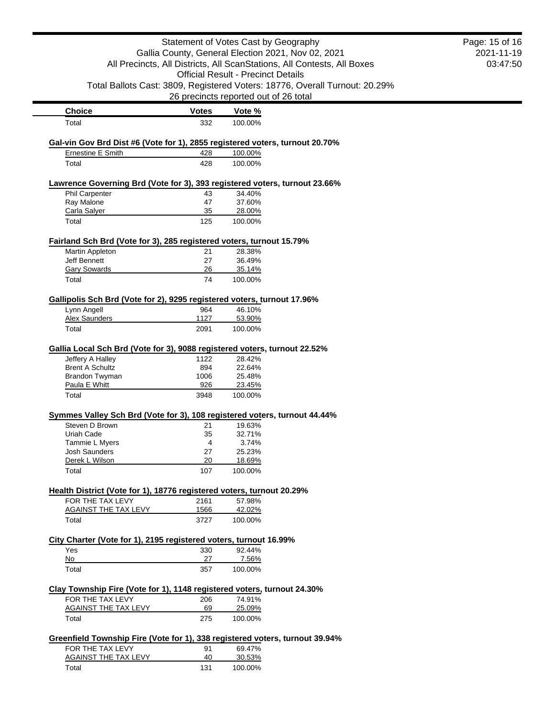|                                                                           |                                                    | Statement of Votes Cast by Geography                                                    | Page: 15 of 16 |
|---------------------------------------------------------------------------|----------------------------------------------------|-----------------------------------------------------------------------------------------|----------------|
|                                                                           | Gallia County, General Election 2021, Nov 02, 2021 |                                                                                         | 2021-11-19     |
| All Precincts, All Districts, All ScanStations, All Contests, All Boxes   |                                                    | 03:47:50                                                                                |                |
|                                                                           |                                                    | <b>Official Result - Precinct Details</b>                                               |                |
|                                                                           |                                                    | Total Ballots Cast: 3809, Registered Voters: 18776, Overall Turnout: 20.29%             |                |
|                                                                           |                                                    | 26 precincts reported out of 26 total                                                   |                |
| <b>Choice</b>                                                             | <b>Votes</b>                                       | Vote %                                                                                  |                |
| Total                                                                     | 332                                                | 100.00%                                                                                 |                |
|                                                                           |                                                    |                                                                                         |                |
| <b>Ernestine E Smith</b>                                                  | 428                                                | Gal-vin Gov Brd Dist #6 (Vote for 1), 2855 registered voters, turnout 20.70%<br>100.00% |                |
| Total                                                                     | 428                                                | 100.00%                                                                                 |                |
|                                                                           |                                                    | Lawrence Governing Brd (Vote for 3), 393 registered voters, turnout 23.66%              |                |
| <b>Phil Carpenter</b>                                                     | 43                                                 | 34.40%                                                                                  |                |
| Ray Malone                                                                | 47                                                 | 37.60%                                                                                  |                |
| Carla Salyer                                                              | 35                                                 | 28.00%                                                                                  |                |
| Total                                                                     | 125                                                | 100.00%                                                                                 |                |
| Fairland Sch Brd (Vote for 3), 285 registered voters, turnout 15.79%      |                                                    |                                                                                         |                |
| Martin Appleton                                                           | 21                                                 | 28.38%                                                                                  |                |
| Jeff Bennett                                                              | 27                                                 | 36.49%                                                                                  |                |
| Gary Sowards                                                              | 26                                                 | 35.14%                                                                                  |                |
| Total                                                                     | 74                                                 | 100.00%                                                                                 |                |
| Gallipolis Sch Brd (Vote for 2), 9295 registered voters, turnout 17.96%   |                                                    |                                                                                         |                |
| Lynn Angell                                                               | 964                                                | 46.10%                                                                                  |                |
| <b>Alex Saunders</b>                                                      | 1127                                               | 53.90%                                                                                  |                |
| Total                                                                     | 2091                                               | 100.00%                                                                                 |                |
| Gallia Local Sch Brd (Vote for 3), 9088 registered voters, turnout 22.52% |                                                    |                                                                                         |                |
| Jeffery A Halley                                                          | 1122                                               | 28.42%                                                                                  |                |
| <b>Brent A Schultz</b>                                                    | 894                                                | 22.64%                                                                                  |                |
| Brandon Twyman                                                            | 1006                                               | 25.48%                                                                                  |                |
| Paula E Whitt<br>Total                                                    | 926<br>3948                                        | 23.45%<br>100.00%                                                                       |                |
|                                                                           |                                                    |                                                                                         |                |
| Steven D Brown                                                            |                                                    | Symmes Valley Sch Brd (Vote for 3), 108 registered voters, turnout 44.44%               |                |
| Uriah Cade                                                                | 21<br>35                                           | 19.63%<br>32.71%                                                                        |                |
| Tammie L Myers                                                            | 4                                                  | 3.74%                                                                                   |                |
| <b>Josh Saunders</b>                                                      | 27                                                 | 25.23%                                                                                  |                |
| Derek L Wilson                                                            | 20                                                 | 18.69%                                                                                  |                |
| Total                                                                     | 107                                                | 100.00%                                                                                 |                |
| Health District (Vote for 1), 18776 registered voters, turnout 20.29%     |                                                    |                                                                                         |                |
| FOR THE TAX LEVY                                                          | 2161                                               | 57.98%                                                                                  |                |
| AGAINST THE TAX LEVY                                                      | 1566                                               | 42.02%                                                                                  |                |
| Total                                                                     | 3727                                               | 100.00%                                                                                 |                |
| City Charter (Vote for 1), 2195 registered voters, turnout 16.99%         |                                                    |                                                                                         |                |
| Yes                                                                       | 330                                                | 92.44%                                                                                  |                |
| No                                                                        | 27                                                 | 7.56%                                                                                   |                |
| Total                                                                     | 357                                                | 100.00%                                                                                 |                |
| Clay Township Fire (Vote for 1), 1148 registered voters, turnout 24.30%   |                                                    |                                                                                         |                |
| FOR THE TAX LEVY                                                          | 206                                                | 74.91%                                                                                  |                |
| <b>AGAINST THE TAX LEVY</b>                                               | 69                                                 | 25.09%                                                                                  |                |
| Total                                                                     | 275                                                | 100.00%                                                                                 |                |
|                                                                           |                                                    | Greenfield Township Fire (Vote for 1), 338 registered voters, turnout 39.94%            |                |
| FOR THE TAX LEVY                                                          | 91                                                 | 69.47%                                                                                  |                |
| AGAINST THE TAX LEVY                                                      | 40                                                 | 30.53%                                                                                  |                |
| Total                                                                     | 131                                                | 100.00%                                                                                 |                |
|                                                                           |                                                    |                                                                                         |                |